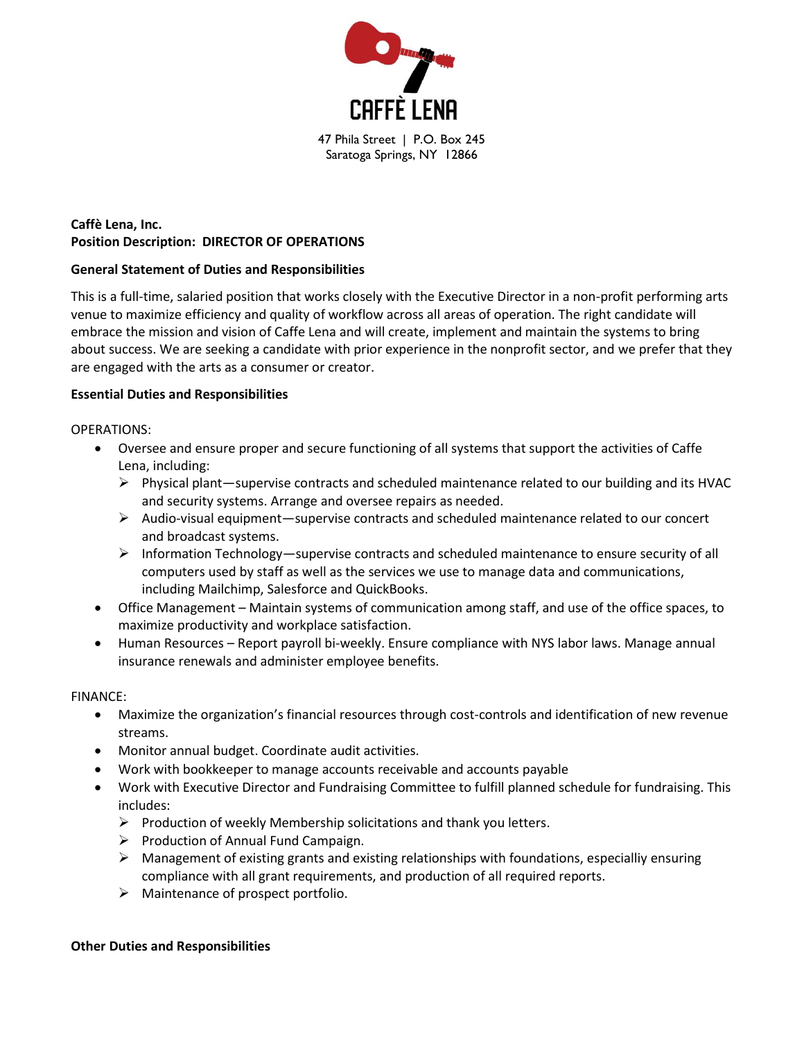

# **Caffè Lena, Inc. Position Description: DIRECTOR OF OPERATIONS**

#### **General Statement of Duties and Responsibilities**

This is a full-time, salaried position that works closely with the Executive Director in a non-profit performing arts venue to maximize efficiency and quality of workflow across all areas of operation. The right candidate will embrace the mission and vision of Caffe Lena and will create, implement and maintain the systems to bring about success. We are seeking a candidate with prior experience in the nonprofit sector, and we prefer that they are engaged with the arts as a consumer or creator.

#### **Essential Duties and Responsibilities**

OPERATIONS:

- Oversee and ensure proper and secure functioning of all systems that support the activities of Caffe Lena, including:
	- $\triangleright$  Physical plant—supervise contracts and scheduled maintenance related to our building and its HVAC and security systems. Arrange and oversee repairs as needed.
	- $\triangleright$  Audio-visual equipment—supervise contracts and scheduled maintenance related to our concert and broadcast systems.
	- $\triangleright$  Information Technology—supervise contracts and scheduled maintenance to ensure security of all computers used by staff as well as the services we use to manage data and communications, including Mailchimp, Salesforce and QuickBooks.
- Office Management Maintain systems of communication among staff, and use of the office spaces, to maximize productivity and workplace satisfaction.
- Human Resources Report payroll bi-weekly. Ensure compliance with NYS labor laws. Manage annual insurance renewals and administer employee benefits.

FINANCE:

- Maximize the organization's financial resources through cost-controls and identification of new revenue streams.
- Monitor annual budget. Coordinate audit activities.
- Work with bookkeeper to manage accounts receivable and accounts payable
- Work with Executive Director and Fundraising Committee to fulfill planned schedule for fundraising. This includes:
	- ➢ Production of weekly Membership solicitations and thank you letters.
	- ➢ Production of Annual Fund Campaign.
	- $\triangleright$  Management of existing grants and existing relationships with foundations, especialliy ensuring compliance with all grant requirements, and production of all required reports.
	- ➢ Maintenance of prospect portfolio.

#### **Other Duties and Responsibilities**